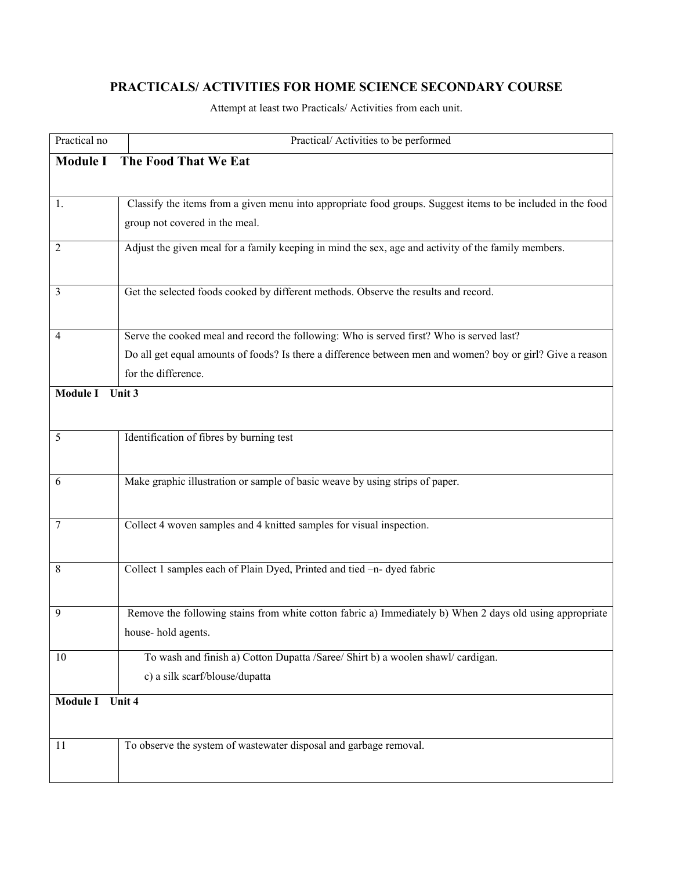## **PRACTICALS/ ACTIVITIES FOR HOME SCIENCE SECONDARY COURSE**

Attempt at least two Practicals/ Activities from each unit.

| Practical no              | Practical/Activities to be performed                                                                        |  |
|---------------------------|-------------------------------------------------------------------------------------------------------------|--|
| <b>Module I</b>           | The Food That We Eat                                                                                        |  |
|                           |                                                                                                             |  |
| 1.                        | Classify the items from a given menu into appropriate food groups. Suggest items to be included in the food |  |
|                           | group not covered in the meal.                                                                              |  |
| $\overline{2}$            | Adjust the given meal for a family keeping in mind the sex, age and activity of the family members.         |  |
|                           |                                                                                                             |  |
|                           |                                                                                                             |  |
| 3                         | Get the selected foods cooked by different methods. Observe the results and record.                         |  |
|                           |                                                                                                             |  |
| $\overline{4}$            | Serve the cooked meal and record the following: Who is served first? Who is served last?                    |  |
|                           | Do all get equal amounts of foods? Is there a difference between men and women? boy or girl? Give a reason  |  |
|                           | for the difference.                                                                                         |  |
| <b>Module I</b>           | Unit 3                                                                                                      |  |
|                           |                                                                                                             |  |
| 5                         | Identification of fibres by burning test                                                                    |  |
|                           |                                                                                                             |  |
| 6                         | Make graphic illustration or sample of basic weave by using strips of paper.                                |  |
|                           |                                                                                                             |  |
| 7                         | Collect 4 woven samples and 4 knitted samples for visual inspection.                                        |  |
|                           |                                                                                                             |  |
| 8                         | Collect 1 samples each of Plain Dyed, Printed and tied -n- dyed fabric                                      |  |
|                           |                                                                                                             |  |
|                           |                                                                                                             |  |
| 9                         | Remove the following stains from white cotton fabric a) Immediately b) When 2 days old using appropriate    |  |
|                           | house-hold agents.                                                                                          |  |
| 10                        | To wash and finish a) Cotton Dupatta /Saree/ Shirt b) a woolen shawl/ cardigan.                             |  |
|                           | c) a silk scarf/blouse/dupatta                                                                              |  |
| <b>Module I</b><br>Unit 4 |                                                                                                             |  |
|                           |                                                                                                             |  |
| 11                        | To observe the system of wastewater disposal and garbage removal.                                           |  |
|                           |                                                                                                             |  |
|                           |                                                                                                             |  |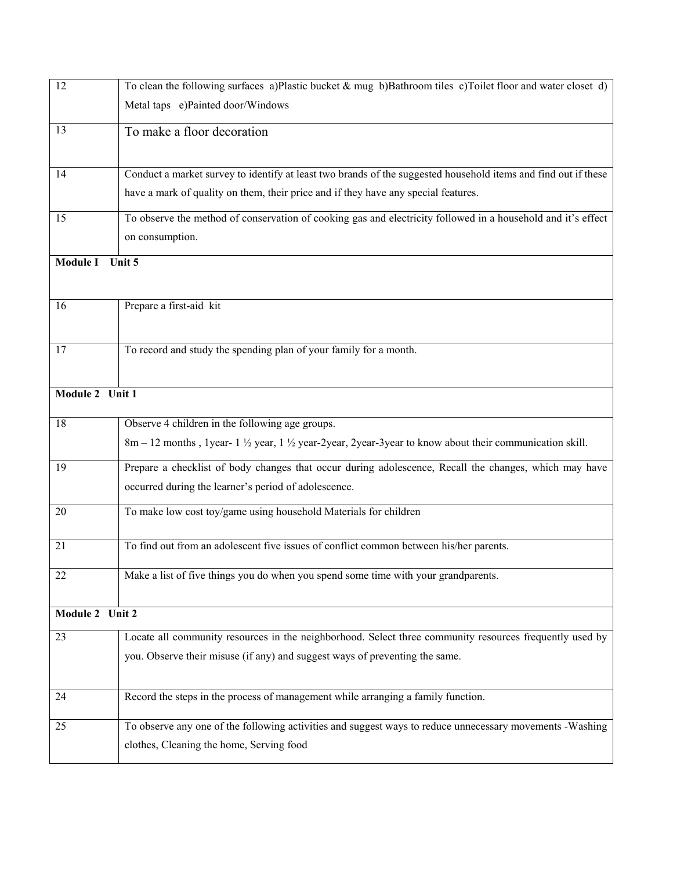| 12                        | To clean the following surfaces a)Plastic bucket $\&$ mug b)Bathroom tiles c)Toilet floor and water closet d)                  |  |
|---------------------------|--------------------------------------------------------------------------------------------------------------------------------|--|
|                           | Metal taps e)Painted door/Windows                                                                                              |  |
| 13                        | To make a floor decoration                                                                                                     |  |
|                           |                                                                                                                                |  |
| 14                        | Conduct a market survey to identify at least two brands of the suggested household items and find out if these                 |  |
|                           | have a mark of quality on them, their price and if they have any special features.                                             |  |
| 15                        | To observe the method of conservation of cooking gas and electricity followed in a household and it's effect                   |  |
|                           | on consumption.                                                                                                                |  |
| <b>Module I</b><br>Unit 5 |                                                                                                                                |  |
|                           |                                                                                                                                |  |
| 16                        | Prepare a first-aid kit                                                                                                        |  |
|                           |                                                                                                                                |  |
| 17                        | To record and study the spending plan of your family for a month.                                                              |  |
|                           |                                                                                                                                |  |
| Module 2 Unit 1           |                                                                                                                                |  |
| 18                        | Observe 4 children in the following age groups.                                                                                |  |
|                           | 8m – 12 months, 1 year- $1\frac{1}{2}$ year, $1\frac{1}{2}$ year-2 year-3 year-3 year to know about their communication skill. |  |
| 19                        | Prepare a checklist of body changes that occur during adolescence, Recall the changes, which may have                          |  |
|                           | occurred during the learner's period of adolescence.                                                                           |  |
| 20                        | To make low cost toy/game using household Materials for children                                                               |  |
|                           |                                                                                                                                |  |
| 21                        | To find out from an adolescent five issues of conflict common between his/her parents.                                         |  |
| 22                        | Make a list of five things you do when you spend some time with your grandparents.                                             |  |
|                           |                                                                                                                                |  |
| Module 2 Unit 2           |                                                                                                                                |  |
| 23                        | Locate all community resources in the neighborhood. Select three community resources frequently used by                        |  |
|                           | you. Observe their misuse (if any) and suggest ways of preventing the same.                                                    |  |
|                           |                                                                                                                                |  |
| 24                        | Record the steps in the process of management while arranging a family function.                                               |  |
| 25                        | To observe any one of the following activities and suggest ways to reduce unnecessary movements -Washing                       |  |
|                           | clothes, Cleaning the home, Serving food                                                                                       |  |
|                           |                                                                                                                                |  |